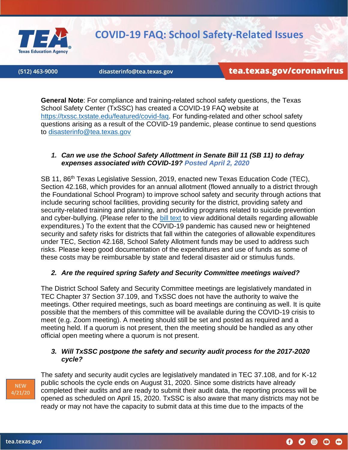

# **COVID-19 FAQ: School Safety-Related Issues**

(512) 463-9000

disasterinfo@tea.texas.gov

tea.texas.gov/coronavirus

**General Note**: For compliance and training-related school safety questions, the Texas School Safety Center (TxSSC) has created a COVID-19 FAQ website at [https://txssc.txstate.edu/featured/covid-faq.](https://txssc.txstate.edu/featured/covid-faq) For funding-related and other school safety questions arising as a result of the COVID-19 pandemic, please continue to send questions to [disasterinfo@tea.texas.gov](mailto:disasterinfo@tea.texas.gov)

#### *1. Can we use the School Safety Allottment in Senate Bill 11 (SB 11) to defray expenses associated with COVID-19? Posted April 2, 2020*

SB 11, 86<sup>th</sup> Texas Legislative Session, 2019, enacted new Texas Education Code (TEC), Section 42.168, which provides for an annual allotment (flowed annually to a district through the Foundational School Program) to improve school safety and security through actions that include securing school facilities, providing security for the district, providing safety and security-related training and planning, and providing programs related to suicide prevention and cyber-bullying. (Please refer to the [bill text](https://capitol.texas.gov/tlodocs/86R/billtext/pdf/SB00011F.pdf#navpanes=0) to view additional details regarding allowable expenditures.) To the extent that the COVID-19 pandemic has caused new or heightened security and safety risks for districts that fall within the categories of allowable expenditures under TEC, Section 42.168, School Safety Allotment funds may be used to address such risks. Please keep good documentation of the expenditures and use of funds as some of these costs may be reimbursable by state and federal disaster aid or stimulus funds.

# *2. Are the required spring Safety and Security Committee meetings waived?*

The District School Safety and Security Committee meetings are legislatively mandated in TEC Chapter 37 Section 37.109, and TxSSC does not have the authority to waive the meetings. Other required meetings, such as board meetings are continuing as well. It is quite possible that the members of this committee will be available during the COVID-19 crisis to meet (e.g. Zoom meeting). A meeting should still be set and posted as required and a meeting held. If a quorum is not present, then the meeting should be handled as any other official open meeting where a quorum is not present.

# *3. Will TxSSC postpone the safety and security audit process for the 2017-2020 cycle?*



The safety and security audit cycles are legislatively mandated in TEC 37.108, and for K-12 public schools the cycle ends on August 31, 2020. Since some districts have already completed their audits and are ready to submit their audit data, the reporting process will be opened as scheduled on April 15, 2020. TxSSC is also aware that many districts may not be ready or may not have the capacity to submit data at this time due to the impacts of the